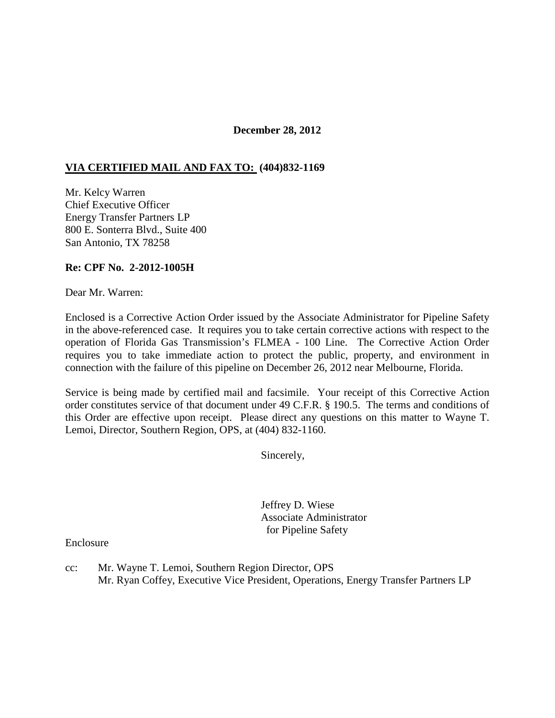## **December 28, 2012**

## **VIA CERTIFIED MAIL AND FAX TO: (404)832-1169**

Mr. Kelcy Warren Chief Executive Officer Energy Transfer Partners LP 800 E. Sonterra Blvd., Suite 400 San Antonio, TX 78258

## **Re: CPF No. 2-2012-1005H**

Dear Mr. Warren:

Enclosed is a Corrective Action Order issued by the Associate Administrator for Pipeline Safety in the above-referenced case. It requires you to take certain corrective actions with respect to the operation of Florida Gas Transmission's FLMEA - 100 Line. The Corrective Action Order requires you to take immediate action to protect the public, property, and environment in connection with the failure of this pipeline on December 26, 2012 near Melbourne, Florida.

Service is being made by certified mail and facsimile. Your receipt of this Corrective Action order constitutes service of that document under 49 C.F.R. § 190.5. The terms and conditions of this Order are effective upon receipt. Please direct any questions on this matter to Wayne T. Lemoi, Director, Southern Region, OPS, at (404) 832-1160.

Sincerely,

 Jeffrey D. Wiese Associate Administrator for Pipeline Safety

Enclosure

cc: Mr. Wayne T. Lemoi, Southern Region Director, OPS Mr. Ryan Coffey, Executive Vice President, Operations, Energy Transfer Partners LP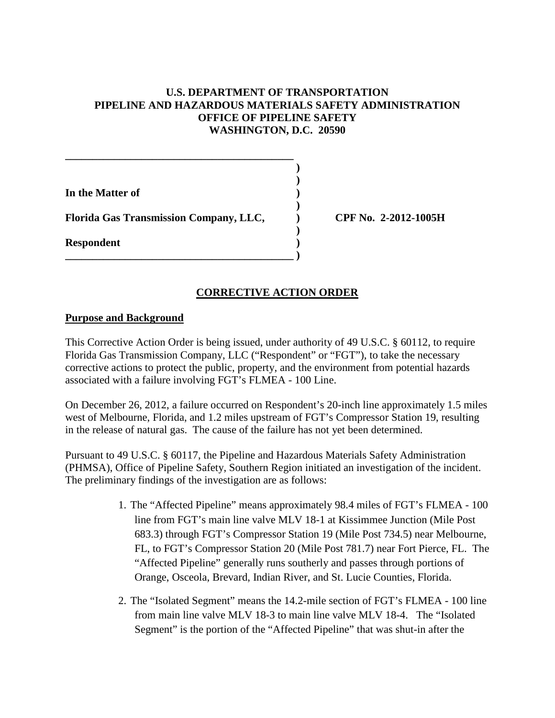# **U.S. DEPARTMENT OF TRANSPORTATION PIPELINE AND HAZARDOUS MATERIALS SAFETY ADMINISTRATION OFFICE OF PIPELINE SAFETY WASHINGTON, D.C. 20590**

 **) )** 

**In the Matter of )** 

 **)**  Florida Gas Transmission Company, LLC, <br> **CPF No. 2-2012-1005H** 

 **)** 

**\_\_\_\_\_\_\_\_\_\_\_\_\_\_\_\_\_\_\_\_\_\_\_\_\_\_\_\_\_\_\_\_\_\_\_\_\_\_\_\_\_\_ )** 

**\_\_\_\_\_\_\_\_\_\_\_\_\_\_\_\_\_\_\_\_\_\_\_\_\_\_\_\_\_\_\_\_\_\_\_\_\_\_\_\_\_\_** 

**Respondent )** 

# **CORRECTIVE ACTION ORDER**

# **Purpose and Background**

This Corrective Action Order is being issued, under authority of 49 U.S.C. § 60112, to require Florida Gas Transmission Company, LLC ("Respondent" or "FGT"), to take the necessary corrective actions to protect the public, property, and the environment from potential hazards associated with a failure involving FGT's FLMEA - 100 Line.

On December 26, 2012, a failure occurred on Respondent's 20-inch line approximately 1.5 miles west of Melbourne, Florida, and 1.2 miles upstream of FGT's Compressor Station 19, resulting in the release of natural gas. The cause of the failure has not yet been determined.

Pursuant to 49 U.S.C. § 60117, the Pipeline and Hazardous Materials Safety Administration (PHMSA), Office of Pipeline Safety, Southern Region initiated an investigation of the incident. The preliminary findings of the investigation are as follows:

- 1. The "Affected Pipeline" means approximately 98.4 miles of FGT's FLMEA 100 line from FGT's main line valve MLV 18-1 at Kissimmee Junction (Mile Post 683.3) through FGT's Compressor Station 19 (Mile Post 734.5) near Melbourne, FL, to FGT's Compressor Station 20 (Mile Post 781.7) near Fort Pierce, FL. The "Affected Pipeline" generally runs southerly and passes through portions of Orange, Osceola, Brevard, Indian River, and St. Lucie Counties, Florida.
- 2. The "Isolated Segment" means the 14.2-mile section of FGT's FLMEA 100 line from main line valve MLV 18-3 to main line valve MLV 18-4. The "Isolated Segment" is the portion of the "Affected Pipeline" that was shut-in after the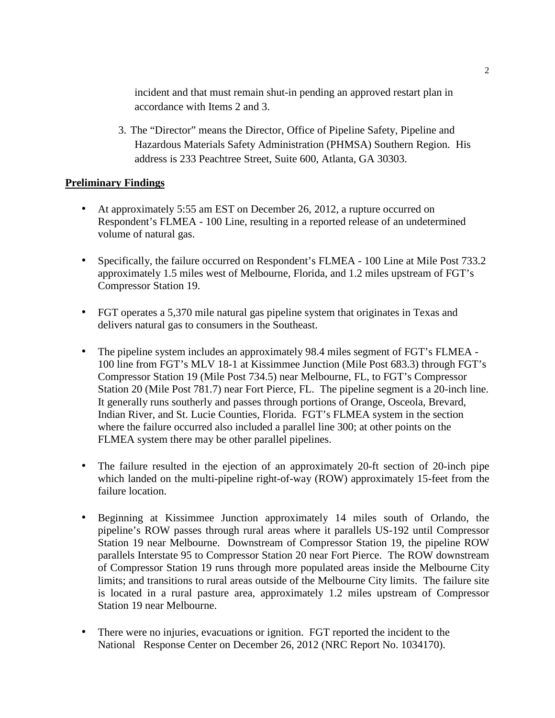incident and that must remain shut-in pending an approved restart plan in accordance with Items 2 and 3.

3. The "Director" means the Director, Office of Pipeline Safety, Pipeline and Hazardous Materials Safety Administration (PHMSA) Southern Region. His address is 233 Peachtree Street, Suite 600, Atlanta, GA 30303.

# **Preliminary Findings**

- At approximately 5:55 am EST on December 26, 2012, a rupture occurred on Respondent's FLMEA - 100 Line, resulting in a reported release of an undetermined volume of natural gas.
- Specifically, the failure occurred on Respondent's FLMEA 100 Line at Mile Post 733.2 approximately 1.5 miles west of Melbourne, Florida, and 1.2 miles upstream of FGT's Compressor Station 19.
- FGT operates a 5,370 mile natural gas pipeline system that originates in Texas and delivers natural gas to consumers in the Southeast.
- The pipeline system includes an approximately 98.4 miles segment of FGT's FLMEA 100 line from FGT's MLV 18-1 at Kissimmee Junction (Mile Post 683.3) through FGT's Compressor Station 19 (Mile Post 734.5) near Melbourne, FL, to FGT's Compressor Station 20 (Mile Post 781.7) near Fort Pierce, FL. The pipeline segment is a 20-inch line. It generally runs southerly and passes through portions of Orange, Osceola, Brevard, Indian River, and St. Lucie Counties, Florida. FGT's FLMEA system in the section where the failure occurred also included a parallel line 300; at other points on the FLMEA system there may be other parallel pipelines.
- The failure resulted in the ejection of an approximately 20-ft section of 20-inch pipe which landed on the multi-pipeline right-of-way (ROW) approximately 15-feet from the failure location.
- Beginning at Kissimmee Junction approximately 14 miles south of Orlando, the pipeline's ROW passes through rural areas where it parallels US-192 until Compressor Station 19 near Melbourne. Downstream of Compressor Station 19, the pipeline ROW parallels Interstate 95 to Compressor Station 20 near Fort Pierce. The ROW downstream of Compressor Station 19 runs through more populated areas inside the Melbourne City limits; and transitions to rural areas outside of the Melbourne City limits. The failure site is located in a rural pasture area, approximately 1.2 miles upstream of Compressor Station 19 near Melbourne.
- There were no injuries, evacuations or ignition. FGT reported the incident to the National Response Center on December 26, 2012 (NRC Report No. 1034170).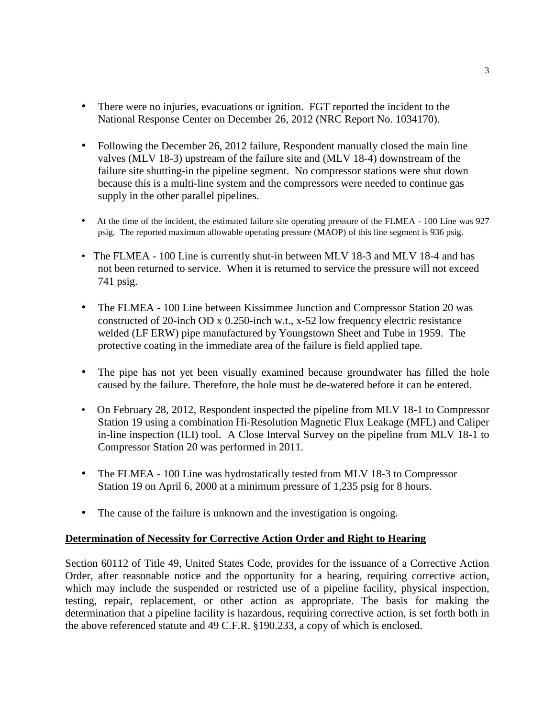- There were no injuries, evacuations or ignition. FGT reported the incident to the National Response Center on December 26, 2012 (NRC Report No. 1034170).
- Following the December 26, 2012 failure, Respondent manually closed the main line valves (MLV 18-3) upstream of the failure site and (MLV 18-4) downstream of the failure site shutting-in the pipeline segment. No compressor stations were shut down because this is a multi-line system and the compressors were needed to continue gas supply in the other parallel pipelines.
- At the time of the incident, the estimated failure site operating pressure of the FLMEA 100 Line was 927 psig. The reported maximum allowable operating pressure (MAOP) of this line segment is 936 psig.
- The FLMEA 100 Line is currently shut-in between MLV 18-3 and MLV 18-4 and has not been returned to service. When it is returned to service the pressure will not exceed 741 psig.
- The FLMEA 100 Line between Kissimmee Junction and Compressor Station 20 was constructed of 20-inch OD x 0.250-inch w.t., x-52 low frequency electric resistance welded (LF ERW) pipe manufactured by Youngstown Sheet and Tube in 1959. The protective coating in the immediate area of the failure is field applied tape.
- The pipe has not yet been visually examined because groundwater has filled the hole caused by the failure. Therefore, the hole must be de-watered before it can be entered.
- On February 28, 2012, Respondent inspected the pipeline from MLV 18-1 to Compressor Station 19 using a combination Hi-Resolution Magnetic Flux Leakage (MFL) and Caliper in-line inspection (ILI) tool. A Close Interval Survey on the pipeline from MLV 18-1 to Compressor Station 20 was performed in 2011.
- The FLMEA 100 Line was hydrostatically tested from MLV 18-3 to Compressor Station 19 on April 6, 2000 at a minimum pressure of 1,235 psig for 8 hours.
- The cause of the failure is unknown and the investigation is ongoing.

## **Determination of Necessity for Corrective Action Order and Right to Hearing**

Section 60112 of Title 49, United States Code, provides for the issuance of a Corrective Action Order, after reasonable notice and the opportunity for a hearing, requiring corrective action, which may include the suspended or restricted use of a pipeline facility, physical inspection, testing, repair, replacement, or other action as appropriate. The basis for making the determination that a pipeline facility is hazardous, requiring corrective action, is set forth both in the above referenced statute and 49 C.F.R. §190.233, a copy of which is enclosed.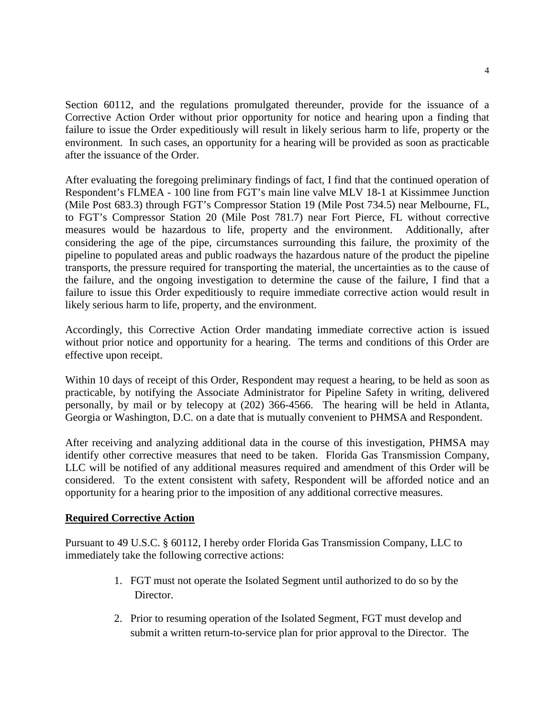Section 60112, and the regulations promulgated thereunder, provide for the issuance of a Corrective Action Order without prior opportunity for notice and hearing upon a finding that failure to issue the Order expeditiously will result in likely serious harm to life, property or the environment. In such cases, an opportunity for a hearing will be provided as soon as practicable after the issuance of the Order.

After evaluating the foregoing preliminary findings of fact, I find that the continued operation of Respondent's FLMEA - 100 line from FGT's main line valve MLV 18-1 at Kissimmee Junction (Mile Post 683.3) through FGT's Compressor Station 19 (Mile Post 734.5) near Melbourne, FL, to FGT's Compressor Station 20 (Mile Post 781.7) near Fort Pierce, FL without corrective measures would be hazardous to life, property and the environment. Additionally, after considering the age of the pipe, circumstances surrounding this failure, the proximity of the pipeline to populated areas and public roadways the hazardous nature of the product the pipeline transports, the pressure required for transporting the material, the uncertainties as to the cause of the failure, and the ongoing investigation to determine the cause of the failure, I find that a failure to issue this Order expeditiously to require immediate corrective action would result in likely serious harm to life, property, and the environment.

Accordingly, this Corrective Action Order mandating immediate corrective action is issued without prior notice and opportunity for a hearing. The terms and conditions of this Order are effective upon receipt.

Within 10 days of receipt of this Order, Respondent may request a hearing, to be held as soon as practicable, by notifying the Associate Administrator for Pipeline Safety in writing, delivered personally, by mail or by telecopy at (202) 366-4566. The hearing will be held in Atlanta, Georgia or Washington, D.C. on a date that is mutually convenient to PHMSA and Respondent.

After receiving and analyzing additional data in the course of this investigation, PHMSA may identify other corrective measures that need to be taken. Florida Gas Transmission Company, LLC will be notified of any additional measures required and amendment of this Order will be considered. To the extent consistent with safety, Respondent will be afforded notice and an opportunity for a hearing prior to the imposition of any additional corrective measures.

## **Required Corrective Action**

Pursuant to 49 U.S.C. § 60112, I hereby order Florida Gas Transmission Company, LLC to immediately take the following corrective actions:

- 1. FGT must not operate the Isolated Segment until authorized to do so by the Director.
- 2. Prior to resuming operation of the Isolated Segment, FGT must develop and submit a written return-to-service plan for prior approval to the Director. The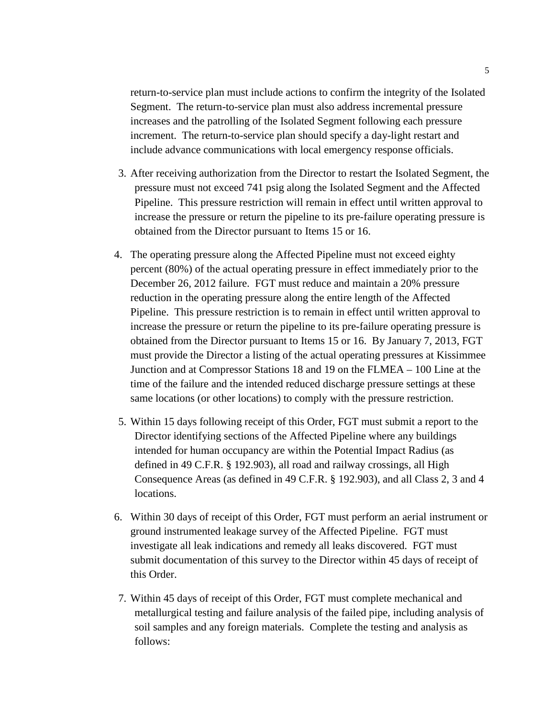return-to-service plan must include actions to confirm the integrity of the Isolated Segment. The return-to-service plan must also address incremental pressure increases and the patrolling of the Isolated Segment following each pressure increment. The return-to-service plan should specify a day-light restart and include advance communications with local emergency response officials.

- 3. After receiving authorization from the Director to restart the Isolated Segment, the pressure must not exceed 741 psig along the Isolated Segment and the Affected Pipeline. This pressure restriction will remain in effect until written approval to increase the pressure or return the pipeline to its pre-failure operating pressure is obtained from the Director pursuant to Items 15 or 16.
- 4. The operating pressure along the Affected Pipeline must not exceed eighty percent (80%) of the actual operating pressure in effect immediately prior to the December 26, 2012 failure. FGT must reduce and maintain a 20% pressure reduction in the operating pressure along the entire length of the Affected Pipeline. This pressure restriction is to remain in effect until written approval to increase the pressure or return the pipeline to its pre-failure operating pressure is obtained from the Director pursuant to Items 15 or 16. By January 7, 2013, FGT must provide the Director a listing of the actual operating pressures at Kissimmee Junction and at Compressor Stations 18 and 19 on the FLMEA – 100 Line at the time of the failure and the intended reduced discharge pressure settings at these same locations (or other locations) to comply with the pressure restriction.
- 5. Within 15 days following receipt of this Order, FGT must submit a report to the Director identifying sections of the Affected Pipeline where any buildings intended for human occupancy are within the Potential Impact Radius (as defined in 49 C.F.R. § 192.903), all road and railway crossings, all High Consequence Areas (as defined in 49 C.F.R. § 192.903), and all Class 2, 3 and 4 locations.
- 6. Within 30 days of receipt of this Order, FGT must perform an aerial instrument or ground instrumented leakage survey of the Affected Pipeline. FGT must investigate all leak indications and remedy all leaks discovered. FGT must submit documentation of this survey to the Director within 45 days of receipt of this Order.
- 7. Within 45 days of receipt of this Order, FGT must complete mechanical and metallurgical testing and failure analysis of the failed pipe, including analysis of soil samples and any foreign materials. Complete the testing and analysis as follows: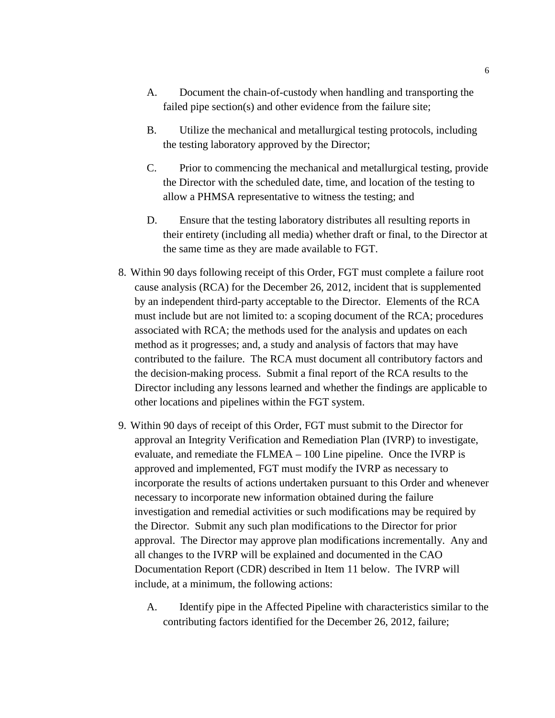- A. Document the chain-of-custody when handling and transporting the failed pipe section(s) and other evidence from the failure site;
- B. Utilize the mechanical and metallurgical testing protocols, including the testing laboratory approved by the Director;
- C. Prior to commencing the mechanical and metallurgical testing, provide the Director with the scheduled date, time, and location of the testing to allow a PHMSA representative to witness the testing; and
- D. Ensure that the testing laboratory distributes all resulting reports in their entirety (including all media) whether draft or final, to the Director at the same time as they are made available to FGT.
- 8. Within 90 days following receipt of this Order, FGT must complete a failure root cause analysis (RCA) for the December 26, 2012, incident that is supplemented by an independent third-party acceptable to the Director. Elements of the RCA must include but are not limited to: a scoping document of the RCA; procedures associated with RCA; the methods used for the analysis and updates on each method as it progresses; and, a study and analysis of factors that may have contributed to the failure. The RCA must document all contributory factors and the decision-making process. Submit a final report of the RCA results to the Director including any lessons learned and whether the findings are applicable to other locations and pipelines within the FGT system.
- 9. Within 90 days of receipt of this Order, FGT must submit to the Director for approval an Integrity Verification and Remediation Plan (IVRP) to investigate, evaluate, and remediate the FLMEA – 100 Line pipeline. Once the IVRP is approved and implemented, FGT must modify the IVRP as necessary to incorporate the results of actions undertaken pursuant to this Order and whenever necessary to incorporate new information obtained during the failure investigation and remedial activities or such modifications may be required by the Director. Submit any such plan modifications to the Director for prior approval. The Director may approve plan modifications incrementally. Any and all changes to the IVRP will be explained and documented in the CAO Documentation Report (CDR) described in Item 11 below. The IVRP will include, at a minimum, the following actions:
	- A. Identify pipe in the Affected Pipeline with characteristics similar to the contributing factors identified for the December 26, 2012, failure;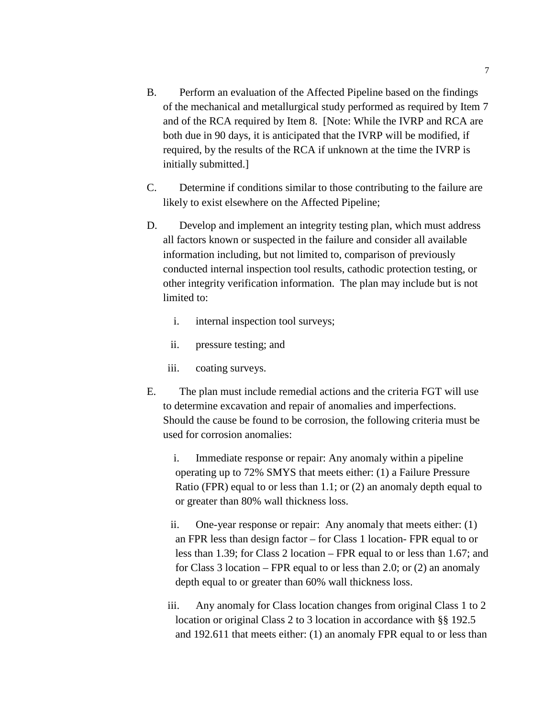- B. Perform an evaluation of the Affected Pipeline based on the findings of the mechanical and metallurgical study performed as required by Item 7 and of the RCA required by Item 8. [Note: While the IVRP and RCA are both due in 90 days, it is anticipated that the IVRP will be modified, if required, by the results of the RCA if unknown at the time the IVRP is initially submitted.]
- C. Determine if conditions similar to those contributing to the failure are likely to exist elsewhere on the Affected Pipeline;
- D. Develop and implement an integrity testing plan, which must address all factors known or suspected in the failure and consider all available information including, but not limited to, comparison of previously conducted internal inspection tool results, cathodic protection testing, or other integrity verification information. The plan may include but is not limited to:
	- i. internal inspection tool surveys;
	- ii. pressure testing; and
	- iii. coating surveys.
- E. The plan must include remedial actions and the criteria FGT will use to determine excavation and repair of anomalies and imperfections. Should the cause be found to be corrosion, the following criteria must be used for corrosion anomalies:

i. Immediate response or repair: Any anomaly within a pipeline operating up to 72% SMYS that meets either: (1) a Failure Pressure Ratio (FPR) equal to or less than 1.1; or (2) an anomaly depth equal to or greater than 80% wall thickness loss.

- ii. One-year response or repair: Any anomaly that meets either: (1) an FPR less than design factor – for Class 1 location- FPR equal to or less than 1.39; for Class 2 location – FPR equal to or less than 1.67; and for Class 3 location – FPR equal to or less than 2.0; or (2) an anomaly depth equal to or greater than 60% wall thickness loss.
- iii. Any anomaly for Class location changes from original Class 1 to 2 location or original Class 2 to 3 location in accordance with §§ 192.5 and 192.611 that meets either: (1) an anomaly FPR equal to or less than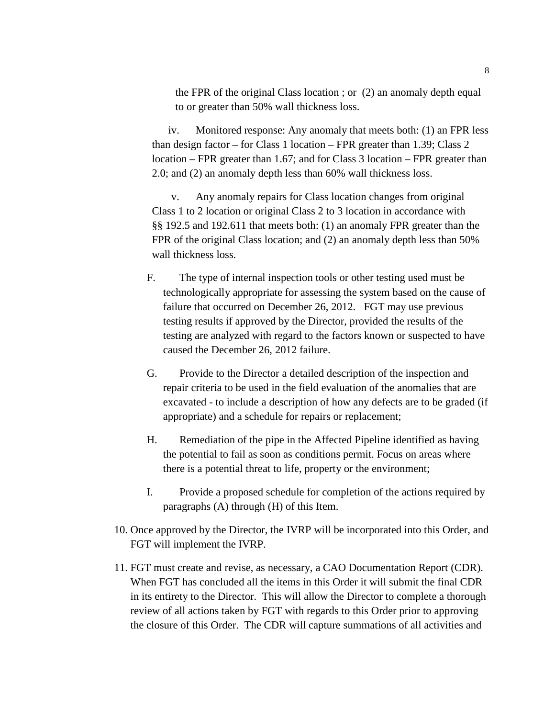the FPR of the original Class location ; or (2) an anomaly depth equal to or greater than 50% wall thickness loss.

iv. Monitored response: Any anomaly that meets both: (1) an FPR less than design factor – for Class 1 location – FPR greater than 1.39; Class 2 location – FPR greater than 1.67; and for Class 3 location – FPR greater than 2.0; and (2) an anomaly depth less than 60% wall thickness loss.

v. Any anomaly repairs for Class location changes from original Class 1 to 2 location or original Class 2 to 3 location in accordance with §§ 192.5 and 192.611 that meets both: (1) an anomaly FPR greater than the FPR of the original Class location; and (2) an anomaly depth less than 50% wall thickness loss.

- F. The type of internal inspection tools or other testing used must be technologically appropriate for assessing the system based on the cause of failure that occurred on December 26, 2012. FGT may use previous testing results if approved by the Director, provided the results of the testing are analyzed with regard to the factors known or suspected to have caused the December 26, 2012 failure.
- G. Provide to the Director a detailed description of the inspection and repair criteria to be used in the field evaluation of the anomalies that are excavated - to include a description of how any defects are to be graded (if appropriate) and a schedule for repairs or replacement;
- H. Remediation of the pipe in the Affected Pipeline identified as having the potential to fail as soon as conditions permit. Focus on areas where there is a potential threat to life, property or the environment;
- I. Provide a proposed schedule for completion of the actions required by paragraphs (A) through (H) of this Item.
- 10. Once approved by the Director, the IVRP will be incorporated into this Order, and FGT will implement the IVRP.
- 11. FGT must create and revise, as necessary, a CAO Documentation Report (CDR). When FGT has concluded all the items in this Order it will submit the final CDR in its entirety to the Director. This will allow the Director to complete a thorough review of all actions taken by FGT with regards to this Order prior to approving the closure of this Order. The CDR will capture summations of all activities and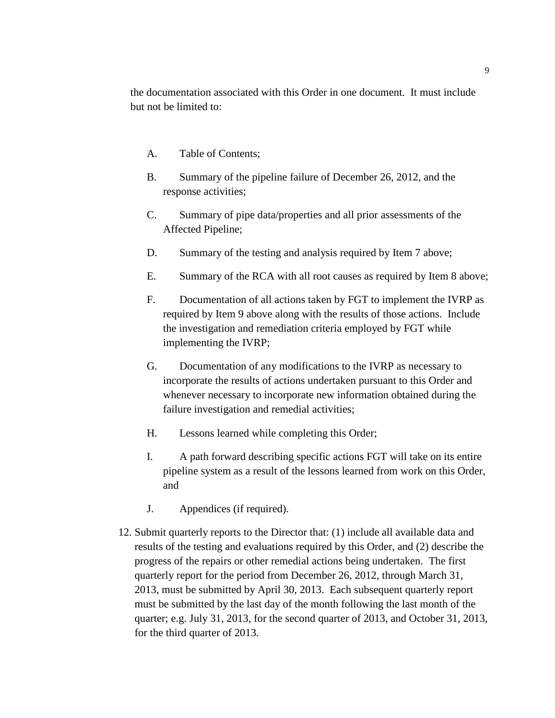the documentation associated with this Order in one document. It must include but not be limited to:

- A. Table of Contents;
- B. Summary of the pipeline failure of December 26, 2012, and the response activities;
- C. Summary of pipe data/properties and all prior assessments of the Affected Pipeline;
- D. Summary of the testing and analysis required by Item 7 above;
- E. Summary of the RCA with all root causes as required by Item 8 above;
- F. Documentation of all actions taken by FGT to implement the IVRP as required by Item 9 above along with the results of those actions. Include the investigation and remediation criteria employed by FGT while implementing the IVRP;
- G. Documentation of any modifications to the IVRP as necessary to incorporate the results of actions undertaken pursuant to this Order and whenever necessary to incorporate new information obtained during the failure investigation and remedial activities;
- H. Lessons learned while completing this Order;
- I. A path forward describing specific actions FGT will take on its entire pipeline system as a result of the lessons learned from work on this Order, and
- J. Appendices (if required).
- 12. Submit quarterly reports to the Director that: (1) include all available data and results of the testing and evaluations required by this Order, and (2) describe the progress of the repairs or other remedial actions being undertaken. The first quarterly report for the period from December 26, 2012, through March 31, 2013, must be submitted by April 30, 2013. Each subsequent quarterly report must be submitted by the last day of the month following the last month of the quarter; e.g. July 31, 2013, for the second quarter of 2013, and October 31, 2013, for the third quarter of 2013.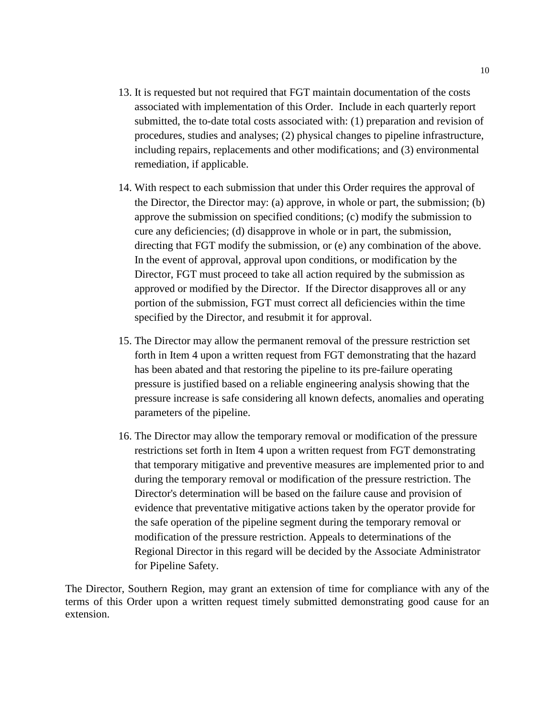- 13. It is requested but not required that FGT maintain documentation of the costs associated with implementation of this Order. Include in each quarterly report submitted, the to-date total costs associated with: (1) preparation and revision of procedures, studies and analyses; (2) physical changes to pipeline infrastructure, including repairs, replacements and other modifications; and (3) environmental remediation, if applicable.
- 14. With respect to each submission that under this Order requires the approval of the Director, the Director may: (a) approve, in whole or part, the submission; (b) approve the submission on specified conditions; (c) modify the submission to cure any deficiencies; (d) disapprove in whole or in part, the submission, directing that FGT modify the submission, or (e) any combination of the above. In the event of approval, approval upon conditions, or modification by the Director, FGT must proceed to take all action required by the submission as approved or modified by the Director. If the Director disapproves all or any portion of the submission, FGT must correct all deficiencies within the time specified by the Director, and resubmit it for approval.
- 15. The Director may allow the permanent removal of the pressure restriction set forth in Item 4 upon a written request from FGT demonstrating that the hazard has been abated and that restoring the pipeline to its pre-failure operating pressure is justified based on a reliable engineering analysis showing that the pressure increase is safe considering all known defects, anomalies and operating parameters of the pipeline.
- 16. The Director may allow the temporary removal or modification of the pressure restrictions set forth in Item 4 upon a written request from FGT demonstrating that temporary mitigative and preventive measures are implemented prior to and during the temporary removal or modification of the pressure restriction. The Director's determination will be based on the failure cause and provision of evidence that preventative mitigative actions taken by the operator provide for the safe operation of the pipeline segment during the temporary removal or modification of the pressure restriction. Appeals to determinations of the Regional Director in this regard will be decided by the Associate Administrator for Pipeline Safety.

The Director, Southern Region, may grant an extension of time for compliance with any of the terms of this Order upon a written request timely submitted demonstrating good cause for an extension.